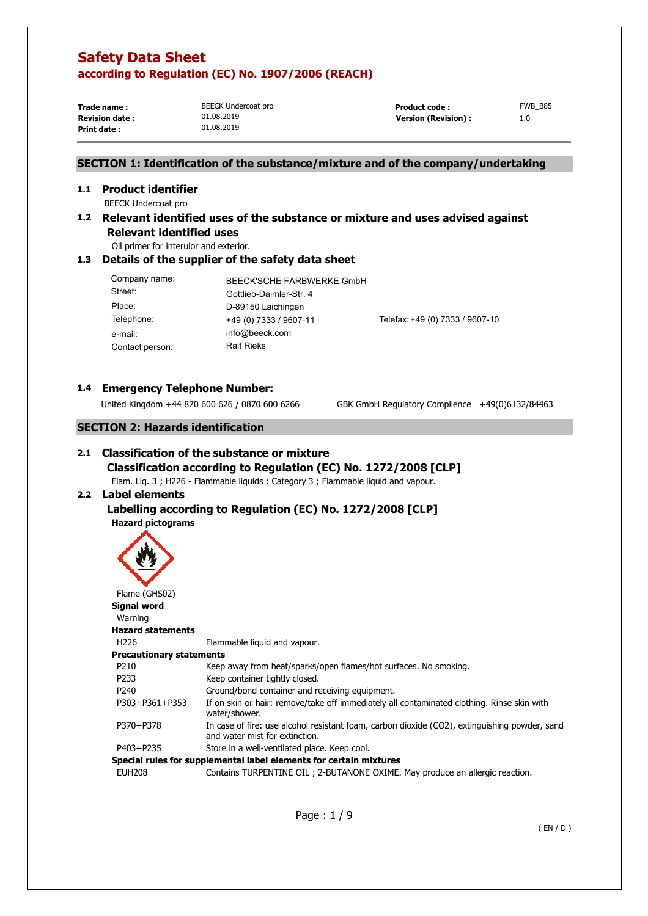**Trade name : Print date :** 

BEECK Undercoat pro 01.08.2019 01.08.2019

**Revision date :**  $01.08.2019$  **1.08.2019 Version (Revision) : 1.0** Product code : FWB\_B85

# **SECTION 1: Identification of the substance/mixture and of the company/undertaking**

# **1.1 Product identifier**

BEECK Undercoat pro

**1.2 Relevant identified uses of the substance or mixture and uses advised against Relevant identified uses** 

Oil primer for interuior and exterior.

## **1.3 Details of the supplier of the safety data sheet**

| Company name:<br>Street: | BEECK'SCHE FARBWERKE GmbH<br>Gottlieb-Daimler-Str. 4 |                                 |
|--------------------------|------------------------------------------------------|---------------------------------|
| Place:                   | D-89150 Laichingen                                   |                                 |
| Telephone:               | +49 (0) 7333 / 9607-11                               | Telefax: +49 (0) 7333 / 9607-10 |
| e-mail:                  | info@beeck.com                                       |                                 |
| Contact person:          | <b>Ralf Rieks</b>                                    |                                 |

# **1.4 Emergency Telephone Number:**

United Kingdom +44 870 600 626 / 0870 600 6266 GBK GmbH Regulatory Complience +49(0)6132/84463

# **SECTION 2: Hazards identification**

# **2.1 Classification of the substance or mixture Classification according to Regulation (EC) No. 1272/2008 [CLP]**

Flam. Liq. 3 ; H226 - Flammable liquids : Category 3 ; Flammable liquid and vapour.

# **2.2 Label elements**

# **Labelling according to Regulation (EC) No. 1272/2008 [CLP] Hazard pictograms**



| Flame (GHS02)            |                                                                                                                                 |
|--------------------------|---------------------------------------------------------------------------------------------------------------------------------|
| Signal word              |                                                                                                                                 |
| Warning                  |                                                                                                                                 |
| <b>Hazard statements</b> |                                                                                                                                 |
| H <sub>226</sub>         | Flammable liquid and vapour.                                                                                                    |
| Precautionary statements |                                                                                                                                 |
| P210                     | Keep away from heat/sparks/open flames/hot surfaces. No smoking.                                                                |
| P <sub>233</sub>         | Keep container tightly closed.                                                                                                  |
| P <sub>240</sub>         | Ground/bond container and receiving equipment.                                                                                  |
| P303+P361+P353           | If on skin or hair: remove/take off immediately all contaminated clothing. Rinse skin with<br>water/shower.                     |
| P370+P378                | In case of fire: use alcohol resistant foam, carbon dioxide (CO2), extinguishing powder, sand<br>and water mist for extinction. |
| P403+P235                | Store in a well-ventilated place. Keep cool.                                                                                    |
|                          | Special rules for supplemental label elements for certain mixtures                                                              |
| <b>EUH208</b>            | Contains TURPENTINE OIL ; 2-BUTANONE OXIME. May produce an allergic reaction.                                                   |
|                          |                                                                                                                                 |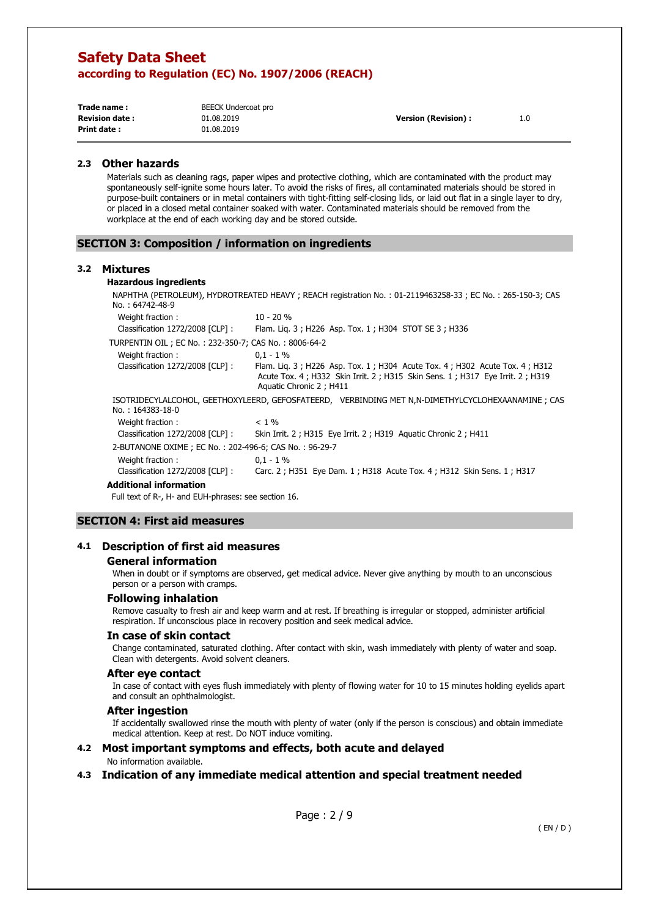**Trade name : Print date :** 

BEECK Undercoat pro 01.08.2019 01.08.2019

**Revision date : Version (Revision) :** 1.0

#### **2.3 Other hazards**

Materials such as cleaning rags, paper wipes and protective clothing, which are contaminated with the product may spontaneously self-ignite some hours later. To avoid the risks of fires, all contaminated materials should be stored in purpose-built containers or in metal containers with tight-fitting self-closing lids, or laid out flat in a single layer to dry, or placed in a closed metal container soaked with water. Contaminated materials should be removed from the workplace at the end of each working day and be stored outside.

#### **SECTION 3: Composition / information on ingredients**

#### **3.2 Mixtures**

#### **Hazardous ingredients**

NAPHTHA (PETROLEUM), HYDROTREATED HEAVY ; REACH registration No. : 01-2119463258-33 ; EC No. : 265-150-3; CAS No. : 64742-48-9 Weight fraction : 10 - 20 % Classification 1272/2008 [CLP] : Flam. Liq. 3 ; H226 Asp. Tox. 1 ; H304 STOT SE 3 ; H336 TURPENTIN OIL ; EC No. : 232-350-7; CAS No. : 8006-64-2 Weight fraction : 0,1 - 1 % Classification 1272/2008 [CLP] : Flam. Liq. 3 ; H226 Asp. Tox. 1 ; H304 Acute Tox. 4 ; H302 Acute Tox. 4 ; H312 Acute Tox. 4 ; H332 Skin Irrit. 2 ; H315 Skin Sens. 1 ; H317 Eye Irrit. 2 ; H319 Aquatic Chronic 2 ; H411 ISOTRIDECYLALCOHOL, GEETHOXYLEERD, GEFOSFATEERD, VERBINDING MET N,N-DIMETHYLCYCLOHEXAANAMINE ; CAS No. : 164383-18-0 Weight fraction :  $\leq 1\%$ Classification 1272/2008 [CLP] : Skin Irrit. 2 ; H315 Eye Irrit. 2 ; H319 Aquatic Chronic 2 ; H411 2-BUTANONE OXIME ; EC No. : 202-496-6; CAS No. : 96-29-7 Weight fraction : 0,1 - 1 % Classification 1272/2008 [CLP] : Carc. 2 ; H351 Eye Dam. 1 ; H318 Acute Tox. 4 ; H312 Skin Sens. 1 ; H317

**Additional information**

Full text of R-, H- and EUH-phrases: see section 16.

#### **SECTION 4: First aid measures**

#### **4.1 Description of first aid measures**

#### **General information**

When in doubt or if symptoms are observed, get medical advice. Never give anything by mouth to an unconscious person or a person with cramps.

#### **Following inhalation**

Remove casualty to fresh air and keep warm and at rest. If breathing is irregular or stopped, administer artificial respiration. If unconscious place in recovery position and seek medical advice.

#### **In case of skin contact**

Change contaminated, saturated clothing. After contact with skin, wash immediately with plenty of water and soap. Clean with detergents. Avoid solvent cleaners.

#### **After eye contact**

In case of contact with eyes flush immediately with plenty of flowing water for 10 to 15 minutes holding eyelids apart and consult an ophthalmologist.

#### **After ingestion**

If accidentally swallowed rinse the mouth with plenty of water (only if the person is conscious) and obtain immediate medical attention. Keep at rest. Do NOT induce vomiting.

#### **4.2 Most important symptoms and effects, both acute and delayed**

### No information available.

**4.3 Indication of any immediate medical attention and special treatment needed**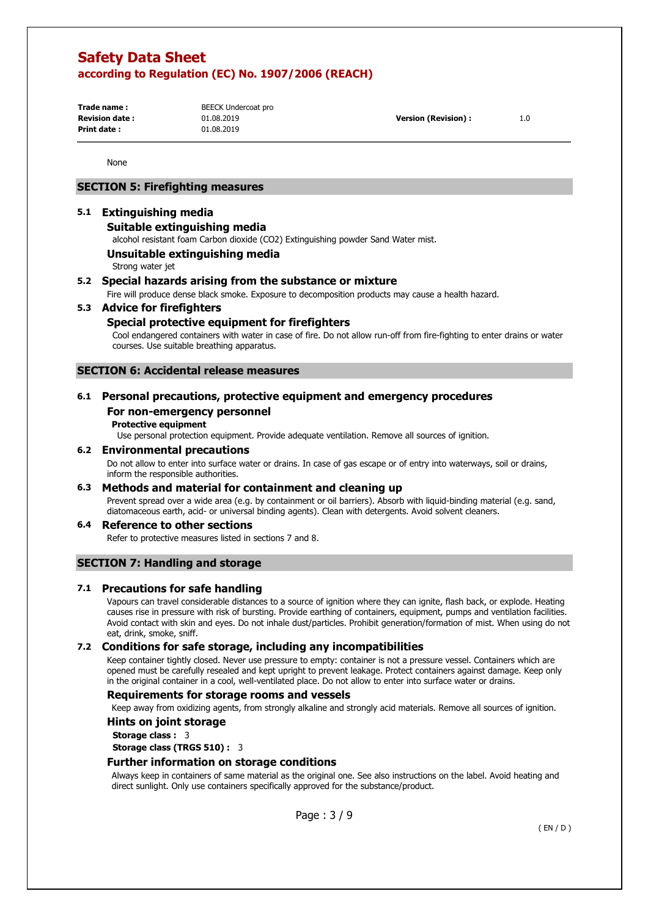**Trade name : Print date :** 

BEECK Undercoat pro 01.08.2019 01.08.2019

None

# **SECTION 5: Firefighting measures**

## **5.1 Extinguishing media**

#### **Suitable extinguishing media**

alcohol resistant foam Carbon dioxide (CO2) Extinguishing powder Sand Water mist.

#### **Unsuitable extinguishing media**

Strong water jet

## **5.2 Special hazards arising from the substance or mixture**

Fire will produce dense black smoke. Exposure to decomposition products may cause a health hazard.

#### **5.3 Advice for firefighters**

#### **Special protective equipment for firefighters**

Cool endangered containers with water in case of fire. Do not allow run-off from fire-fighting to enter drains or water courses. Use suitable breathing apparatus.

#### **SECTION 6: Accidental release measures**

## **6.1 Personal precautions, protective equipment and emergency procedures For non-emergency personnel**

#### **Protective equipment**

Use personal protection equipment. Provide adequate ventilation. Remove all sources of ignition.

#### **6.2 Environmental precautions**

Do not allow to enter into surface water or drains. In case of gas escape or of entry into waterways, soil or drains, inform the responsible authorities.

#### **6.3 Methods and material for containment and cleaning up**

Prevent spread over a wide area (e.g. by containment or oil barriers). Absorb with liquid-binding material (e.g. sand, diatomaceous earth, acid- or universal binding agents). Clean with detergents. Avoid solvent cleaners.

#### **6.4 Reference to other sections**

Refer to protective measures listed in sections 7 and 8.

#### **SECTION 7: Handling and storage**

#### **7.1 Precautions for safe handling**

Vapours can travel considerable distances to a source of ignition where they can ignite, flash back, or explode. Heating causes rise in pressure with risk of bursting. Provide earthing of containers, equipment, pumps and ventilation facilities. Avoid contact with skin and eyes. Do not inhale dust/particles. Prohibit generation/formation of mist. When using do not eat, drink, smoke, sniff.

#### **7.2 Conditions for safe storage, including any incompatibilities**

Keep container tightly closed. Never use pressure to empty: container is not a pressure vessel. Containers which are opened must be carefully resealed and kept upright to prevent leakage. Protect containers against damage. Keep only in the original container in a cool, well-ventilated place. Do not allow to enter into surface water or drains.

#### **Requirements for storage rooms and vessels**

Keep away from oxidizing agents, from strongly alkaline and strongly acid materials. Remove all sources of ignition.

#### **Hints on joint storage**

**Storage class :** 3

**Storage class (TRGS 510) :** 3

#### **Further information on storage conditions**

Always keep in containers of same material as the original one. See also instructions on the label. Avoid heating and direct sunlight. Only use containers specifically approved for the substance/product.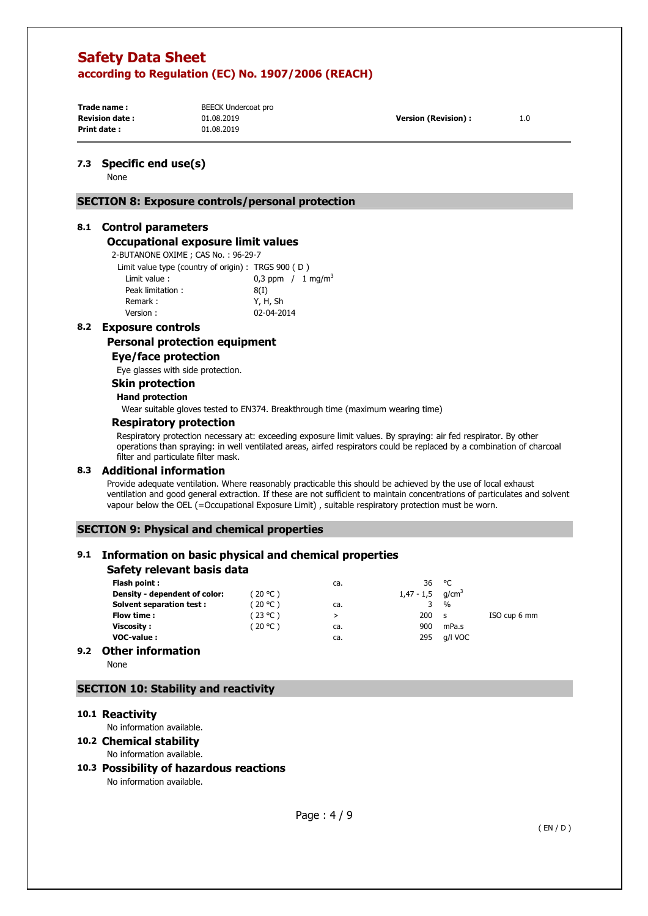**Trade name : Print date :** 

BEECK Undercoat pro 01.08.2019 01.08.2019

**Revision date : Version (Revision) :** 1.0

#### **7.3 Specific end use(s)**

None

### **SECTION 8: Exposure controls/personal protection**

#### **8.1 Control parameters**

#### **Occupational exposure limit values**

2-BUTANONE OXIME ; CAS No. : 96-29-7

| Limit value type (country of origin): TRGS 900 (D) |                                |
|----------------------------------------------------|--------------------------------|
| Limit value:                                       | 0,3 ppm $/1$ mg/m <sup>3</sup> |
| Peak limitation:                                   | 8(1)                           |
| Remark:                                            | Y, H, Sh                       |
| Version:                                           | 02-04-2014                     |

# **8.2 Exposure controls**

**Personal protection equipment** 

### **Eye/face protection**

Eye glasses with side protection.

#### **Skin protection**

#### **Hand protection**

Wear suitable gloves tested to EN374. Breakthrough time (maximum wearing time)

# **Respiratory protection**

Respiratory protection necessary at: exceeding exposure limit values. By spraying: air fed respirator. By other operations than spraying: in well ventilated areas, airfed respirators could be replaced by a combination of charcoal filter and particulate filter mask.

# **8.3 Additional information**

Provide adequate ventilation. Where reasonably practicable this should be achieved by the use of local exhaust ventilation and good general extraction. If these are not sufficient to maintain concentrations of particulates and solvent vapour below the OEL (=Occupational Exposure Limit) , suitable respiratory protection must be worn.

## **SECTION 9: Physical and chemical properties**

# **9.1 Information on basic physical and chemical properties**

| Safety relevant basis data |  |  |  |  |  |
|----------------------------|--|--|--|--|--|
|----------------------------|--|--|--|--|--|

|     | Flash point:                    |           | ca. | 36                             | °C            |              |
|-----|---------------------------------|-----------|-----|--------------------------------|---------------|--------------|
|     | Density - dependent of color:   | 720 °C)   |     | $1,47 - 1,5$ g/cm <sup>3</sup> |               |              |
|     | <b>Solvent separation test:</b> | (20 °C)   | ca. |                                | $\frac{0}{0}$ |              |
|     | Flow time:                      | (23 °C )  | ⋗   | 200                            | - S           | ISO cup 6 mm |
|     | Viscosity :                     | ( 20 °C ) | ca. | 900                            | mPa.s         |              |
|     | <b>VOC-value:</b>               |           | ca. | 295                            | q/l VOC       |              |
| 9.2 | <b>Other information</b>        |           |     |                                |               |              |

None

# **SECTION 10: Stability and reactivity**

#### **10.1 Reactivity**

No information available.

# **10.2 Chemical stability**

No information available.

# **10.3 Possibility of hazardous reactions**

No information available.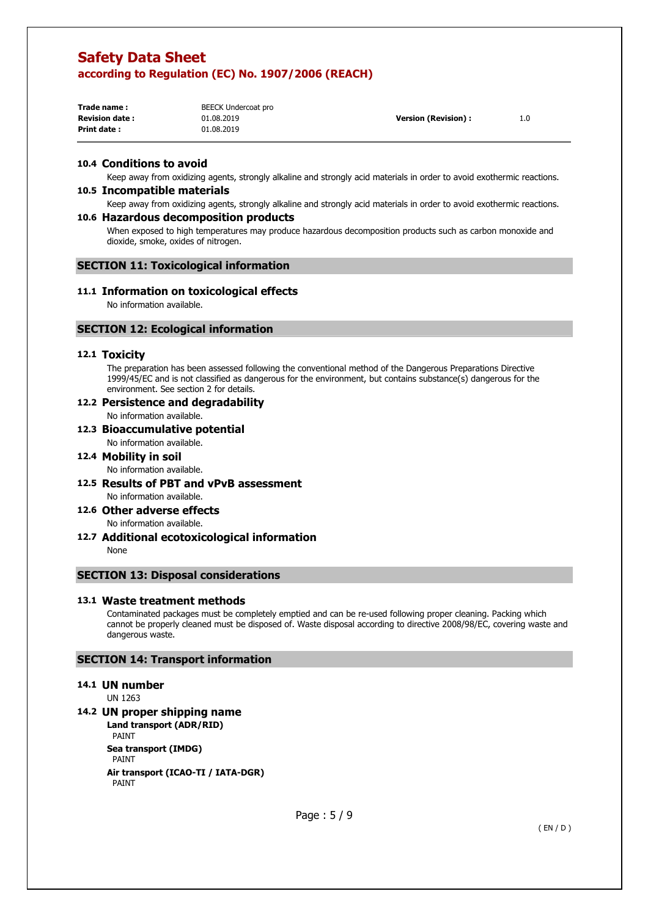| Trade name:            | BEECK Undercoat pro |                            |     |
|------------------------|---------------------|----------------------------|-----|
| <b>Revision date :</b> | 01.08.2019          | <b>Version (Revision):</b> | 1.0 |
| Print date:            | 01.08.2019          |                            |     |

# **10.4 Conditions to avoid**

Keep away from oxidizing agents, strongly alkaline and strongly acid materials in order to avoid exothermic reactions.

#### **10.5 Incompatible materials**

Keep away from oxidizing agents, strongly alkaline and strongly acid materials in order to avoid exothermic reactions.

#### **10.6 Hazardous decomposition products**

When exposed to high temperatures may produce hazardous decomposition products such as carbon monoxide and dioxide, smoke, oxides of nitrogen.

#### **SECTION 11: Toxicological information**

#### **11.1 Information on toxicological effects**

No information available.

# **SECTION 12: Ecological information**

## **12.1 Toxicity**

The preparation has been assessed following the conventional method of the Dangerous Preparations Directive 1999/45/EC and is not classified as dangerous for the environment, but contains substance(s) dangerous for the environment. See section 2 for details.

# **12.2 Persistence and degradability**

No information available.

**12.3 Bioaccumulative potential**  No information available.

#### **12.4 Mobility in soil**

No information available.

- **12.5 Results of PBT and vPvB assessment**  No information available.
- **12.6 Other adverse effects**

No information available.

**12.7 Additional ecotoxicological information**  None

## **SECTION 13: Disposal considerations**

#### **13.1 Waste treatment methods**

Contaminated packages must be completely emptied and can be re-used following proper cleaning. Packing which cannot be properly cleaned must be disposed of. Waste disposal according to directive 2008/98/EC, covering waste and dangerous waste.

#### **SECTION 14: Transport information**

#### **14.1 UN number**

UN 1263

## **14.2 UN proper shipping name**

**Land transport (ADR/RID)**  PAINT **Sea transport (IMDG)**  PAINT **Air transport (ICAO-TI / IATA-DGR)**  PAINT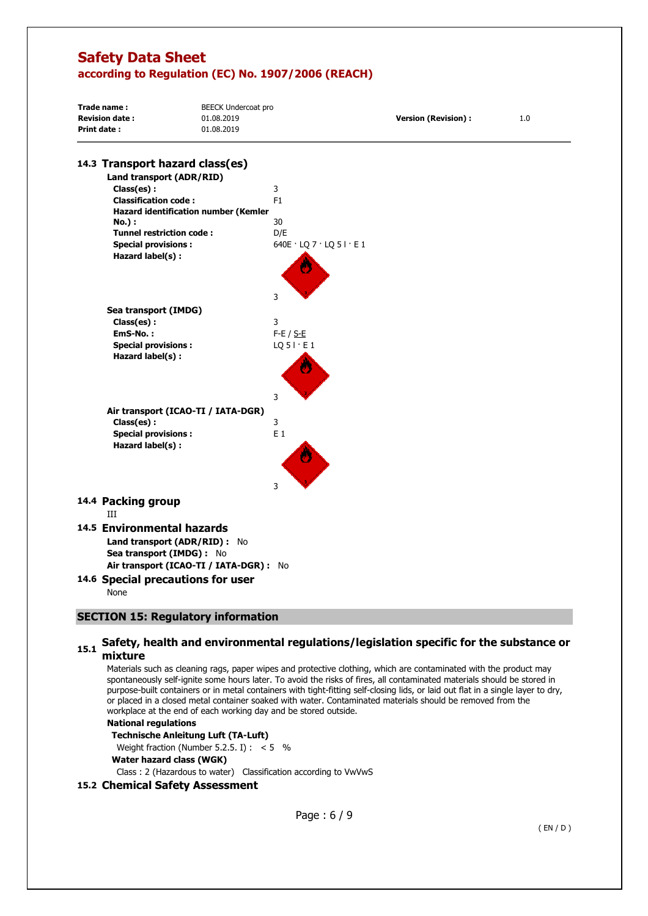| Trade name:<br><b>Revision date:</b><br>Print date:                                                                                 | <b>BEECK Undercoat pro</b><br>01.08.2019<br>01.08.2019 | <b>Version (Revision):</b> | 1.0 |
|-------------------------------------------------------------------------------------------------------------------------------------|--------------------------------------------------------|----------------------------|-----|
| 14.3 Transport hazard class(es)                                                                                                     |                                                        |                            |     |
| Land transport (ADR/RID)                                                                                                            |                                                        |                            |     |
| Class(es):                                                                                                                          | 3                                                      |                            |     |
| <b>Classification code:</b>                                                                                                         | F1                                                     |                            |     |
| Hazard identification number (Kemler                                                                                                | 30                                                     |                            |     |
| No.) :<br><b>Tunnel restriction code:</b>                                                                                           | D/E                                                    |                            |     |
| <b>Special provisions:</b>                                                                                                          | 640E $\cdot$ LQ 7 $\cdot$ LQ 5 I $\cdot$ E 1           |                            |     |
| Hazard label(s) :                                                                                                                   |                                                        |                            |     |
|                                                                                                                                     | 3                                                      |                            |     |
| Sea transport (IMDG)                                                                                                                |                                                        |                            |     |
| Class(es):                                                                                                                          | 3                                                      |                            |     |
| EmS-No.:                                                                                                                            | $F-E / S-E$                                            |                            |     |
| <b>Special provisions:</b><br>Hazard label(s) :                                                                                     | $LQ$ 5 $\vdots$ E 1                                    |                            |     |
|                                                                                                                                     | 3                                                      |                            |     |
| Air transport (ICAO-TI / IATA-DGR)                                                                                                  |                                                        |                            |     |
| Class(es):                                                                                                                          | 3                                                      |                            |     |
| <b>Special provisions:</b><br>Hazard label(s) :                                                                                     | $E_1$<br>3                                             |                            |     |
| 14.4 Packing group<br>ШT                                                                                                            |                                                        |                            |     |
| 14.5 Environmental hazards<br>Land transport (ADR/RID) : No<br>Sea transport (IMDG) : No<br>Air transport (ICAO-TI / IATA-DGR) : No |                                                        |                            |     |
| 14.6 Special precautions for user<br>None                                                                                           |                                                        |                            |     |
| <b>SECTION 15: Regulatory information</b>                                                                                           |                                                        |                            |     |

# 15.1 Safety, health and environmental regulations/legislation specific for the substance or **mixture**

Materials such as cleaning rags, paper wipes and protective clothing, which are contaminated with the product may spontaneously self-ignite some hours later. To avoid the risks of fires, all contaminated materials should be stored in purpose-built containers or in metal containers with tight-fitting self-closing lids, or laid out flat in a single layer to dry, or placed in a closed metal container soaked with water. Contaminated materials should be removed from the workplace at the end of each working day and be stored outside.

#### **National regulations**

#### **Technische Anleitung Luft (TA-Luft)**

Weight fraction (Number 5.2.5. I) :  $< 5$  %

**Water hazard class (WGK)** 

Class : 2 (Hazardous to water) Classification according to VwVwS

# **15.2 Chemical Safety Assessment**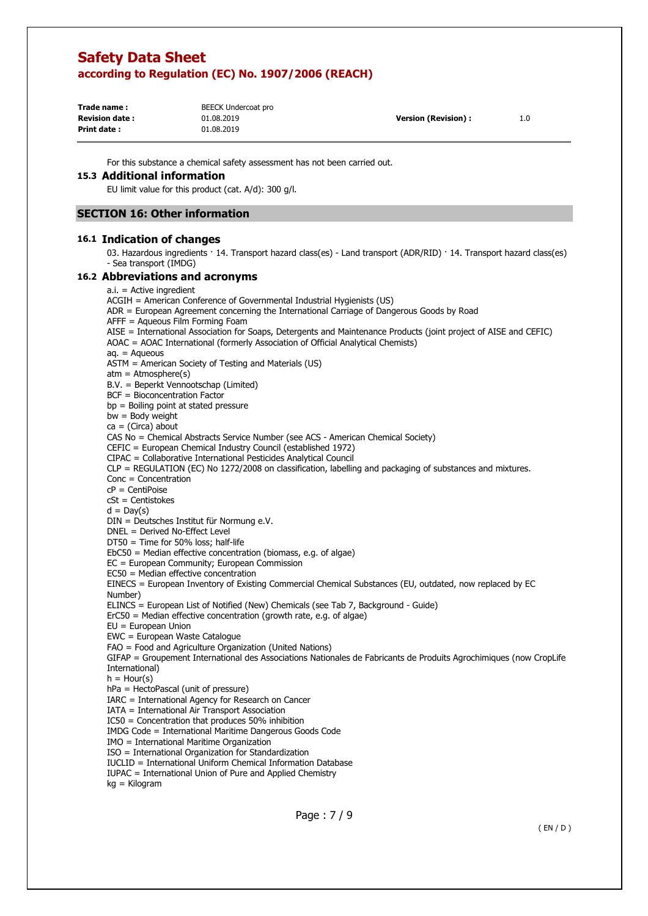| Trade name:            | BEECK Undercoat pro |                            |     |
|------------------------|---------------------|----------------------------|-----|
| <b>Revision date :</b> | 01.08.2019          | <b>Version (Revision):</b> | 1.0 |
| Print date:            | 01.08.2019          |                            |     |

For this substance a chemical safety assessment has not been carried out.

## **15.3 Additional information**

EU limit value for this product (cat. A/d): 300 g/l.

# **SECTION 16: Other information**

# **16.1 Indication of changes**

03. Hazardous ingredients · 14. Transport hazard class(es) - Land transport (ADR/RID) · 14. Transport hazard class(es) - Sea transport (IMDG)

# **16.2 Abbreviations and acronyms**

| $a.i. =$ Active ingredient                                                                                         |
|--------------------------------------------------------------------------------------------------------------------|
| ACGIH = American Conference of Governmental Industrial Hygienists (US)                                             |
| ADR = European Agreement concerning the International Carriage of Dangerous Goods by Road                          |
| $A$ FFF = Aqueous Film Forming Foam                                                                                |
| AISE = International Association for Soaps, Detergents and Maintenance Products (joint project of AISE and CEFIC)  |
| AOAC = AOAC International (formerly Association of Official Analytical Chemists)                                   |
| $aq. = Aqueous$                                                                                                    |
| ASTM = American Society of Testing and Materials (US)                                                              |
| $atm = Atmosphere(s)$                                                                                              |
| B.V. = Beperkt Vennootschap (Limited)                                                                              |
| BCF = Bioconcentration Factor                                                                                      |
| $bp =$ Boiling point at stated pressure                                                                            |
| $bw = Body weight$                                                                                                 |
| $ca = (Circa)$ about                                                                                               |
| CAS No = Chemical Abstracts Service Number (see ACS - American Chemical Society)                                   |
| CEFIC = European Chemical Industry Council (established 1972)                                                      |
| CIPAC = Collaborative International Pesticides Analytical Council                                                  |
| $CLP = REGULATION (EC) No 1272/2008 on classification, labelling and packaging of substances and mixtures.$        |
| $Conc = Concentration$                                                                                             |
| $cP = CentiPoise$                                                                                                  |
| $cSt = Centistokes$                                                                                                |
| $d = Day(s)$                                                                                                       |
| DIN = Deutsches Institut für Normung e.V.                                                                          |
| DNEL = Derived No-Effect Level                                                                                     |
| $DT50 = Time$ for 50% loss; half-life                                                                              |
| $EbC50$ = Median effective concentration (biomass, e.g. of algae)                                                  |
| EC = European Community; European Commission                                                                       |
| $EC50$ = Median effective concentration                                                                            |
| EINECS = European Inventory of Existing Commercial Chemical Substances (EU, outdated, now replaced by EC           |
| Number)                                                                                                            |
| ELINCS = European List of Notified (New) Chemicals (see Tab 7, Background - Guide)                                 |
| $ErC50$ = Median effective concentration (growth rate, e.g. of algae)                                              |
| $EU = European Union$                                                                                              |
| EWC = European Waste Catalogue                                                                                     |
| FAO = Food and Agriculture Organization (United Nations)                                                           |
| GIFAP = Groupement International des Associations Nationales de Fabricants de Produits Agrochimiques (now CropLife |
| International)                                                                                                     |
| $h =$ Hour(s)                                                                                                      |
| hPa = HectoPascal (unit of pressure)                                                                               |
| IARC = International Agency for Research on Cancer                                                                 |
| IATA = International Air Transport Association                                                                     |
| $IC50 =$ Concentration that produces 50% inhibition                                                                |
| IMDG Code = International Maritime Dangerous Goods Code                                                            |
| IMO = International Maritime Organization                                                                          |
| ISO = International Organization for Standardization                                                               |
| IUCLID = International Uniform Chemical Information Database                                                       |
| IUPAC = International Union of Pure and Applied Chemistry                                                          |
| kg = Kilogram                                                                                                      |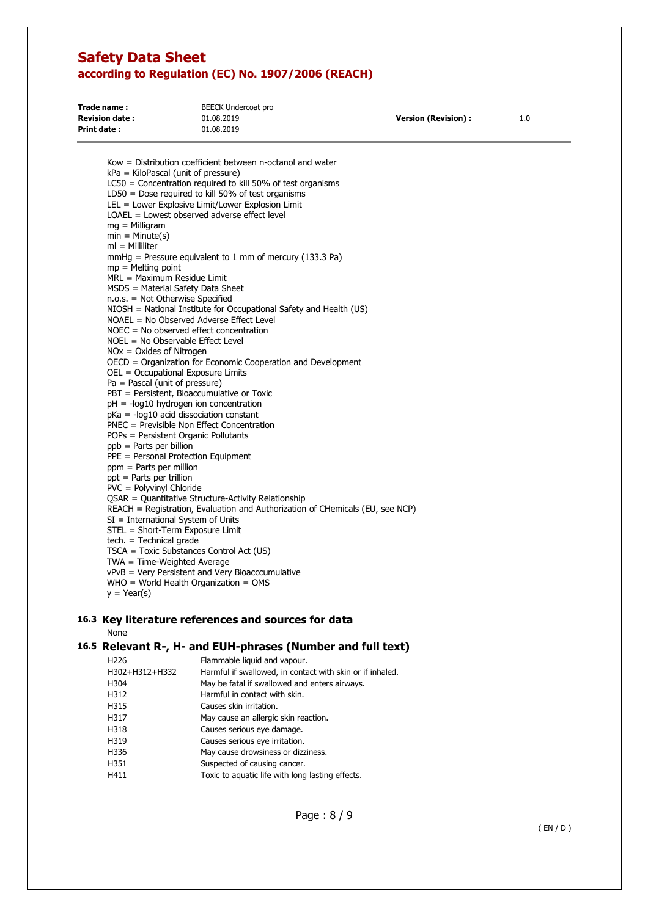| Trade name:           | BEECK Undercoat pro |                            |     |
|-----------------------|---------------------|----------------------------|-----|
| <b>Revision date:</b> | 01.08.2019          | <b>Version (Revision):</b> | 1.0 |
| <b>Print date :</b>   | 01.08.2019          |                            |     |

Kow = Distribution coefficient between n-octanol and water kPa = KiloPascal (unit of pressure) LC50 = Concentration required to kill 50% of test organisms LD50 = Dose required to kill 50% of test organisms LEL = Lower Explosive Limit/Lower Explosion Limit LOAEL = Lowest observed adverse effect level mg = Milligram  $min = Minute(s)$ ml = Milliliter mmHg = Pressure equivalent to 1 mm of mercury (133.3 Pa) mp = Melting point MRL = Maximum Residue Limit MSDS = Material Safety Data Sheet n.o.s. = Not Otherwise Specified NIOSH = National Institute for Occupational Safety and Health (US) NOAEL = No Observed Adverse Effect Level NOEC = No observed effect concentration NOEL = No Observable Effect Level NOx = Oxides of Nitrogen OECD = Organization for Economic Cooperation and Development OEL = Occupational Exposure Limits Pa = Pascal (unit of pressure) PBT = Persistent, Bioaccumulative or Toxic pH = -log10 hydrogen ion concentration pKa = -log10 acid dissociation constant PNEC = Previsible Non Effect Concentration POPs = Persistent Organic Pollutants ppb = Parts per billion PPE = Personal Protection Equipment ppm = Parts per million ppt = Parts per trillion PVC = Polyvinyl Chloride QSAR = Quantitative Structure-Activity Relationship REACH = Registration, Evaluation and Authorization of CHemicals (EU, see NCP) SI = International System of Units STEL = Short-Term Exposure Limit tech. = Technical grade TSCA = Toxic Substances Control Act (US) TWA = Time-Weighted Average

- vPvB = Very Persistent and Very Bioacccumulative
- WHO = World Health Organization = OMS

 $y = Year(s)$ 

# **16.3 Key literature references and sources for data**

None

## **16.5 Relevant R-, H- and EUH-phrases (Number and full text)**

| H <sub>226</sub> | Flammable liquid and vapour.                              |
|------------------|-----------------------------------------------------------|
| H302+H312+H332   | Harmful if swallowed, in contact with skin or if inhaled. |
| H304             | May be fatal if swallowed and enters airways.             |
| H312             | Harmful in contact with skin.                             |
| H315             | Causes skin irritation.                                   |
| H317             | May cause an allergic skin reaction.                      |
| H318             | Causes serious eye damage.                                |
| H319             | Causes serious eye irritation.                            |
| H336             | May cause drowsiness or dizziness.                        |
| H351             | Suspected of causing cancer.                              |
| H411             | Toxic to aquatic life with long lasting effects.          |